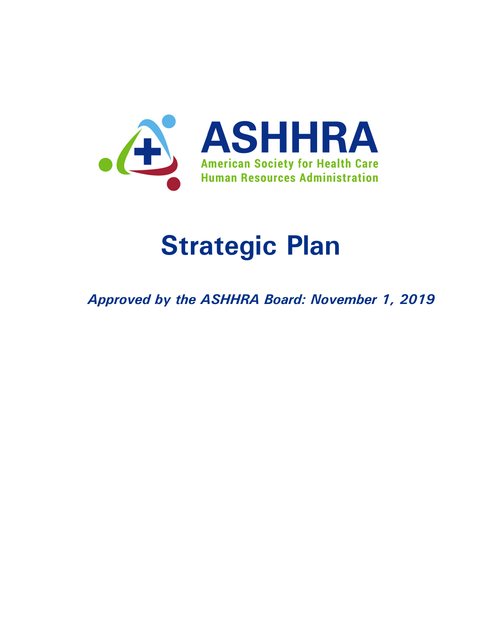

# **Strategic Plan**

*Approved by the ASHHRA Board: November 1, 2019*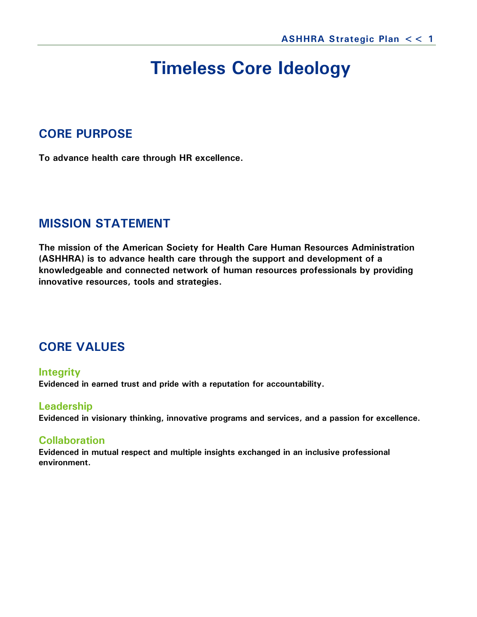# **Timeless Core Ideology**

## **CORE PURPOSE**

**To advance health care through HR excellence.**

## **MISSION STATEMENT**

**The mission of the American Society for Health Care Human Resources Administration (ASHHRA) is to advance health care through the support and development of a knowledgeable and connected network of human resources professionals by providing innovative resources, tools and strategies.**

# **CORE VALUES**

#### **Integrity Evidenced in earned trust and pride with a reputation for accountability.**

#### **Leadership**

**Evidenced in visionary thinking, innovative programs and services, and a passion for excellence.**

### **Collaboration**

**Evidenced in mutual respect and multiple insights exchanged in an inclusive professional environment.**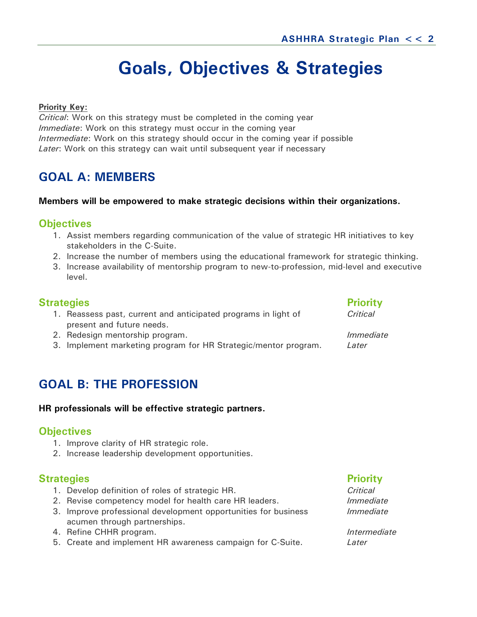# **Goals, Objectives & Strategies**

#### **Priority Key:**

*Critical*: Work on this strategy must be completed in the coming year *Immediate*: Work on this strategy must occur in the coming year *Intermediate*: Work on this strategy should occur in the coming year if possible *Later*: Work on this strategy can wait until subsequent year if necessary

# **GOAL A: MEMBERS**

#### **Members will be empowered to make strategic decisions within their organizations.**

#### **Objectives**

- 1. Assist members regarding communication of the value of strategic HR initiatives to key stakeholders in the C-Suite.
- 2. Increase the number of members using the educational framework for strategic thinking.
- 3. Increase availability of mentorship program to new-to-profession, mid-level and executive level.

### **Strategies Priority**

- 1. Reassess past, current and anticipated programs in light of *Critical* present and future needs.
- 2. Redesign mentorship program. *Immediate*
- 3. Implement marketing program for HR Strategic/mentor program. *Later*

# **GOAL B: THE PROFESSION**

#### **HR professionals will be effective strategic partners.**

#### **Objectives**

- 1. Improve clarity of HR strategic role.
- 2. Increase leadership development opportunities.

#### **Strategies Priority**

- 1. Develop definition of roles of strategic HR. *Critical*
- 2. Revise competency model for health care HR leaders. *Immediate*
- 3. Improve professional development opportunities for business *Immediate* acumen through partnerships.
- 4. Refine CHHR program. *Intermediate*
- 5. Create and implement HR awareness campaign for C-Suite. *Later*